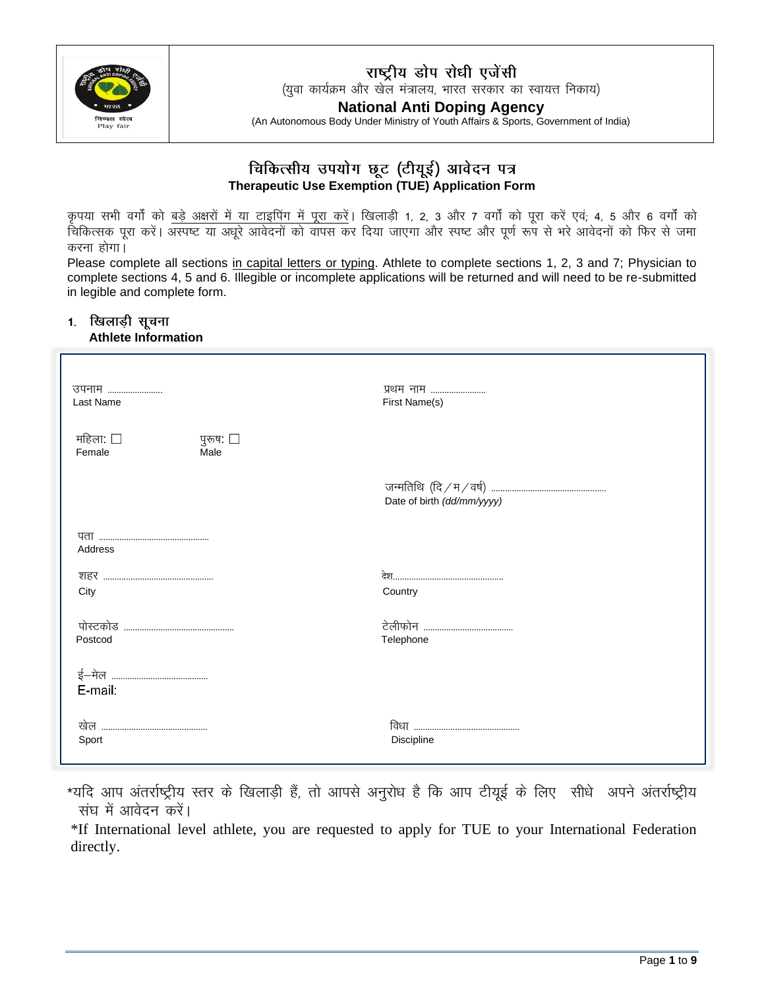

### राष्ट्रीय डोप रोधी एजेंसी

(युवा कार्यक्रम और खेल मंत्रालय, भारत सरकार का स्वायत्त निकाय)

**National Anti Doping Agency**

(An Autonomous Body Under Ministry of Youth Affairs & Sports, Government of India)

### चिकित्सीय उपयोग छूट (टीयूई) आवेदन पत्र **Therapeutic Use Exemption (TUE) Application Form**

कृपया सभी वर्गों को <u>बड़े अक्षरों में या टाइपिंग में</u> पूरा करें। खिलाड़ी 1, 2, 3 और 7 वर्गों को पूरा करें एवं; 4, 5 और 6 वर्गों को <u>चिकित्सक पूरा करें। अस्पष्ट या अधूरे आवेदनों को वांपस कर दिया जाएगा और स्पष्ट और पूर्ण रूप से भरे आवेदनों को फिर से जमा</u> करना होगा।

Please complete all sections in capital letters or typing. Athlete to complete sections 1, 2, 3 and 7; Physician to complete sections 4, 5 and 6. Illegible or incomplete applications will be returned and will need to be re-submitted in legible and complete form.

### 1. खिलाड़ी सूचना

| उपनाम                                               | प्रथम नाम                  |
|-----------------------------------------------------|----------------------------|
| Last Name                                           | First Name(s)              |
| महिला: $\square$<br>पुरूष: $\Box$<br>Female<br>Male |                            |
|                                                     | Date of birth (dd/mm/yyyy) |
| Address                                             |                            |
|                                                     |                            |
| City                                                | Country                    |
|                                                     |                            |
| Postcod                                             | Telephone                  |
| E-mail:                                             |                            |
|                                                     |                            |
| Sport                                               | Discipline                 |

\*यदि आप अंतर्राष्ट्रीय स्तर के खिलाड़ी हैं, तो आपसे अनुरोध है कि आप टीयूई के लिए सीधे अपने अंतर्राष्ट्रीय **संघ में आवेदन करें।** 

\*If International level athlete, you are requested to apply for TUE to your International Federation directly.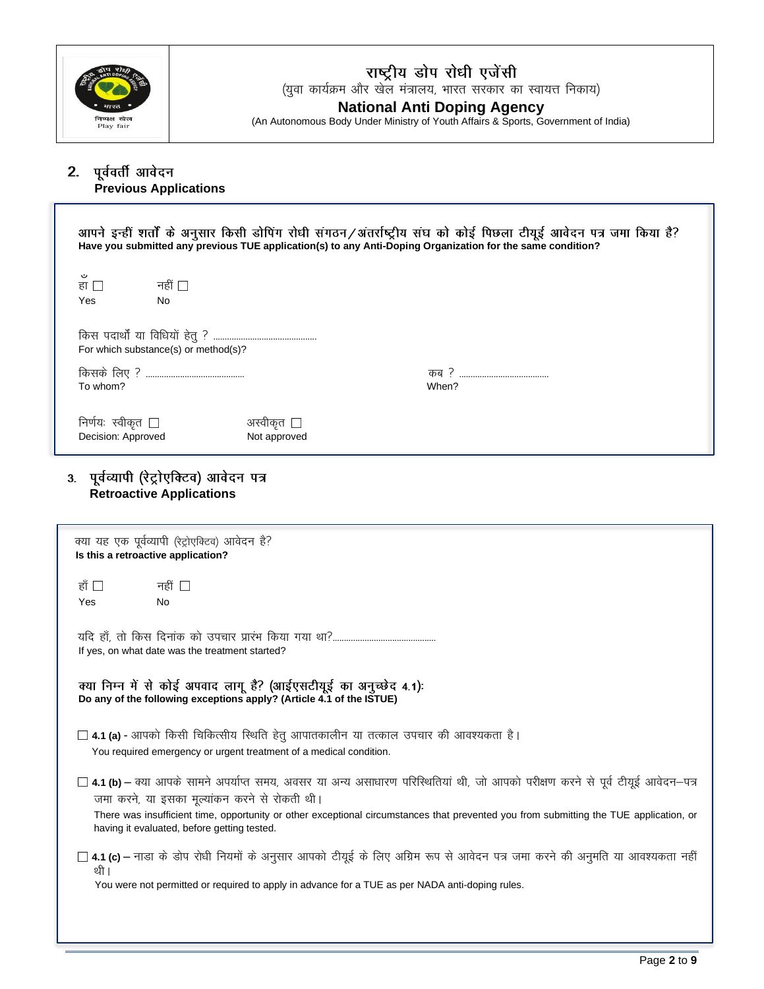

## **(युवा कार्यक्रम और खेल संत्रालय, भारत सरकार का स्वायत्त निकाय)**<br>(युवा कार्यक्रम और खेल मंत्रालय, भारत सरकार का स्वायत्त निकाय) **National Anti Doping Agency**

(An Autonomous Body Under Ministry of Youth Affairs & Sports, Government of India)

## **Previous Applications**

| आपने इन्हीं शर्तों के अनुसार किसी डोपिंग रोधी संगठन/अंतर्राष्ट्रीय संघ को कोई पिछला टीयूई आवेदन पत्र जमा किया है?<br>Have you submitted any previous TUE application(s) to any Anti-Doping Organization for the same condition?                                                                                                                                                                                                                                                                  |                            |              |  |
|--------------------------------------------------------------------------------------------------------------------------------------------------------------------------------------------------------------------------------------------------------------------------------------------------------------------------------------------------------------------------------------------------------------------------------------------------------------------------------------------------|----------------------------|--------------|--|
| ت<br>नहीं □<br>हा ।<br><b>Yes</b><br>No                                                                                                                                                                                                                                                                                                                                                                                                                                                          |                            |              |  |
| For which substance(s) or method(s)?                                                                                                                                                                                                                                                                                                                                                                                                                                                             |                            |              |  |
| To whom?                                                                                                                                                                                                                                                                                                                                                                                                                                                                                         |                            | कब?<br>When? |  |
| निर्णयः स्वीकृत $\Box$<br>Decision: Approved                                                                                                                                                                                                                                                                                                                                                                                                                                                     | अस्वीकृत ⊔<br>Not approved |              |  |
| $\leftarrow$ $\leftarrow$ $\leftarrow$ $\leftarrow$ $\leftarrow$ $\leftarrow$ $\leftarrow$ $\leftarrow$ $\leftarrow$ $\leftarrow$ $\leftarrow$ $\leftarrow$ $\leftarrow$ $\leftarrow$ $\leftarrow$ $\leftarrow$ $\leftarrow$ $\leftarrow$ $\leftarrow$ $\leftarrow$ $\leftarrow$ $\leftarrow$ $\leftarrow$ $\leftarrow$ $\leftarrow$ $\leftarrow$ $\leftarrow$ $\leftarrow$ $\leftarrow$ $\leftarrow$ $\leftarrow$ $\leftarrow$ $\leftarrow$ $\leftarrow$ $\leftarrow$ $\leftarrow$ $\leftarrow$ |                            |              |  |

### 3. पूर्वव्यापी (रेट्रोएक्टिव) आवेदन पत्र **Retroactive Applications**

| क्या यह एक पूर्वव्यापी (रेट्रोएक्टिव) आवेदन है?<br>Is this a retroactive application?                                                                                                                                                                                                                                                                                          |                                                                                                                                                                                                                                      |  |  |
|--------------------------------------------------------------------------------------------------------------------------------------------------------------------------------------------------------------------------------------------------------------------------------------------------------------------------------------------------------------------------------|--------------------------------------------------------------------------------------------------------------------------------------------------------------------------------------------------------------------------------------|--|--|
| हाँ □<br>नहीं ∏<br><b>No</b><br>Yes                                                                                                                                                                                                                                                                                                                                            |                                                                                                                                                                                                                                      |  |  |
| If yes, on what date was the treatment started?                                                                                                                                                                                                                                                                                                                                |                                                                                                                                                                                                                                      |  |  |
| क्या निम्न में से कोई अपवाद लागू है? (आईएसटीयूई का अनुच्छेद 4.1):<br>Do any of the following exceptions apply? (Article 4.1 of the ISTUE)                                                                                                                                                                                                                                      |                                                                                                                                                                                                                                      |  |  |
| $\Box$ 4.1 (a) - आपको किसी चिकित्सीय स्थिति हेतु आपातकालीन या तत्काल उपचार की आवश्यकता है।<br>You required emergency or urgent treatment of a medical condition.                                                                                                                                                                                                               |                                                                                                                                                                                                                                      |  |  |
| $\Box$ 4.1 (b) — क्या आपके सामने अपर्याप्त समय, अवसर या अन्य असाधारण परिस्थितियां थी, जो आपको परीक्षण करने से पूर्व टीयूई आवेदन—पत्र<br>जमा करने, या इसका मूल्यांकन करने से रोकती थी।<br>There was insufficient time, opportunity or other exceptional circumstances that prevented you from submitting the TUE application, or<br>having it evaluated, before getting tested. |                                                                                                                                                                                                                                      |  |  |
| थी ।                                                                                                                                                                                                                                                                                                                                                                           | $\Box$ 4.1 (c) – नाडा के डोप रोधी नियमों के अनुसार आपको टीयूई के लिए अग्रिम रूप से आवेदन पत्र जमा करने की अनुमति या आवश्यकता नहीं<br>You were not permitted or required to apply in advance for a TUE as per NADA anti-doping rules. |  |  |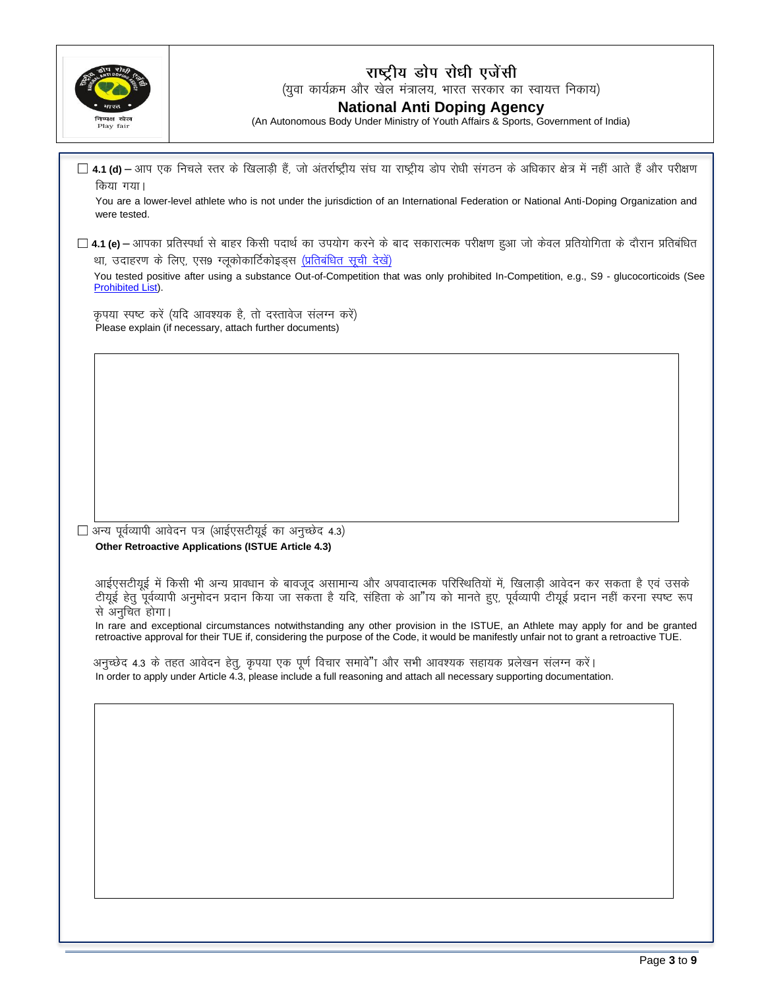

### राष्ट्रीय डोप रोधी एजेंसी

(युवा कार्यक्रम और खेल मंत्रालय, भारत सरकार का स्वायत्त निकाय)

#### **National Anti Doping Agency**

(An Autonomous Body Under Ministry of Youth Affairs & Sports, Government of India)

□ 4.1 (d) – आप एक निचले स्तर के खिलाड़ी हैं, जो अंतर्राष्ट्रीय संघ या राष्ट्रीय डोप रोधी संगठन के अधिकार क्षेत्र में नहीं आते हैं और परीक्षण किया गया।

You are a lower-level athlete who is not under the jurisdiction of an International Federation or National Anti-Doping Organization and were tested.

 $\Box$  4.1 (e) – आपका प्रतिस्पर्धा से बाहर किसी पदार्थ का उपयोग करने के बाद सकारात्मक परीक्षण हुआ जो केवल प्रतियोगिता के दौरान प्रतिबंधित था, उदाहरण के लिए, एस9 ग्लूकोकार्टिकोइड्स (प्रतिबंधित सूची देखें)

You tested positive after using a substance Out-of-Competition that was only prohibited In-Competition, e.g., S9 - glucocorticoids (See Prohibited List).

कपया स्पष्ट करें (यदि आवश्यक है) तो दस्तावेज संलग्न करें) Please explain (if necessary, attach further documents)

 $\Box$  अन्य पूर्वव्यापी आवेदन पत्र (आईएसटीयूई का अनुच्छेद 4.3) Other Retroactive Applications (ISTUE Article 4.3)

आईएसटीयुई में किसी भी अन्य प्रावधान के बावजूद असामान्य और अपवादात्मक परिस्थितियों में, खिलाडी आवेदन कर सकता है एवं उसके टीयुई हेत् पर्वव्यापी अनुमोदन प्रदान किया जा सकता है यदि, संहिता के आ"ाय को मानते हुए, पूर्वव्यापी टीयुई प्रदान नहीं करना स्पष्ट रूप से अनूचित होगा।

In rare and exceptional circumstances notwithstanding any other provision in the ISTUE, an Athlete may apply for and be granted retroactive approval for their TUE if, considering the purpose of the Code, it would be manifestly unfair not to grant a retroactive TUE.

अनुच्छेद 4.3 के तहत आवेदन हेतू, कृपया एक पूर्ण विचार समावे"ा और सभी आवश्यक सहायक प्रलेखन संलग्न करें। In order to apply under Article 4.3, please include a full reasoning and attach all necessary supporting documentation.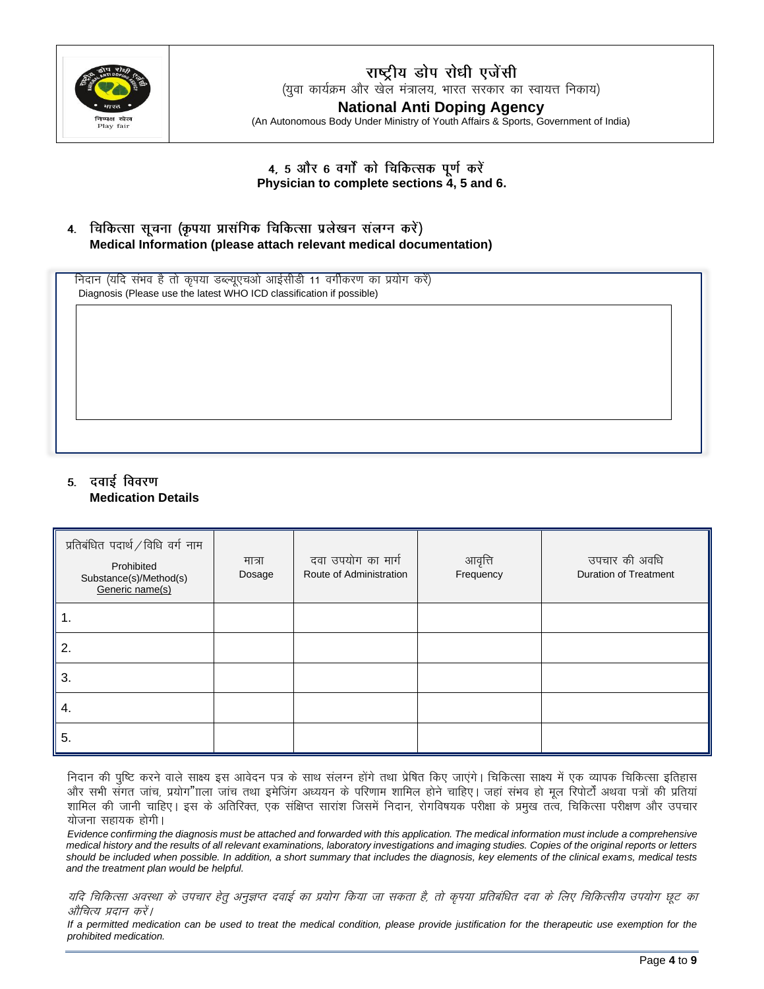

### राष्ट्रीय डोप रोधी एजेंसी (युवा कार्यक्रम और खेल मंत्रालय, भारत सरकार का स्वायत्त निकाय) **National Anti Doping Agency**

(An Autonomous Body Under Ministry of Youth Affairs & Sports, Government of India)

4, 5 और 6 वर्गों को चिकित्सक पूर्ण करें Physician to complete sections 4, 5 and 6.

4. विकित्सा सूचना (कृपया प्रासंगिक चिकित्सा प्रलेखन संलग्न करें) Medical Information (please attach relevant medical documentation)

निदान (यदि संभव है तो कृपया डब्ल्युएचओ आईसीडी 11 वर्गीकरण का प्रयोग करें) Diagnosis (Please use the latest WHO ICD classification if possible)

### 5. दवाई विवरण **Medication Details**

| प्रतिबंधित पदार्थ / विधि वर्ग नाम<br>Prohibited<br>Substance(s)/Method(s)<br>Generic name(s) | मात्रा<br>Dosage | दवा उपयोग का मार्ग<br>Route of Administration | आवृत्ति<br>Frequency | उपचार की अवधि<br><b>Duration of Treatment</b> |
|----------------------------------------------------------------------------------------------|------------------|-----------------------------------------------|----------------------|-----------------------------------------------|
| 1.                                                                                           |                  |                                               |                      |                                               |
| 2.                                                                                           |                  |                                               |                      |                                               |
| 3.                                                                                           |                  |                                               |                      |                                               |
| 4.                                                                                           |                  |                                               |                      |                                               |
| 5.                                                                                           |                  |                                               |                      |                                               |

निदान की पुष्टि करने वाले साक्ष्य इस आवेदन पत्र के साथ संलग्न होंगे तथा प्रेषित किए जाएंगे। चिकित्सा साक्ष्य में एक व्यापक चिकित्सा इतिहास और सभी संगत जांच, प्रयोग"ाला जांच तथा इमेजिंग अध्ययन के परिणाम शामिल होने चाहिए। जहां संभव हो मूल रिपोर्टों अथवा पत्रों की प्रतियां शामिल की जानी चाहिए। इस के अतिरिक्त, एक संक्षिप्त सारांश जिसमें निदान, रोगविषयक परीक्षा के प्रमुख तत्व, चिकित्सा परीक्षण और उपचार योजना सहायक होगी।

Evidence confirming the diagnosis must be attached and forwarded with this application. The medical information must include a comprehensive medical history and the results of all relevant examinations, laboratory investigations and imaging studies. Copies of the original reports or letters should be included when possible. In addition, a short summary that includes the diagnosis, key elements of the clinical exams, medical tests and the treatment plan would be helpful.

यदि चिकित्सा अवस्था के उपचार हेतु अनुज्ञप्त दवाई का प्रयोग किया जा सकता है, तो कृपया प्रतिबंधित दवा के लिए चिकित्सीय उपयोग छूट का औचित्य प्रदान करें।

If a permitted medication can be used to treat the medical condition, please provide justification for the therapeutic use exemption for the prohibited medication.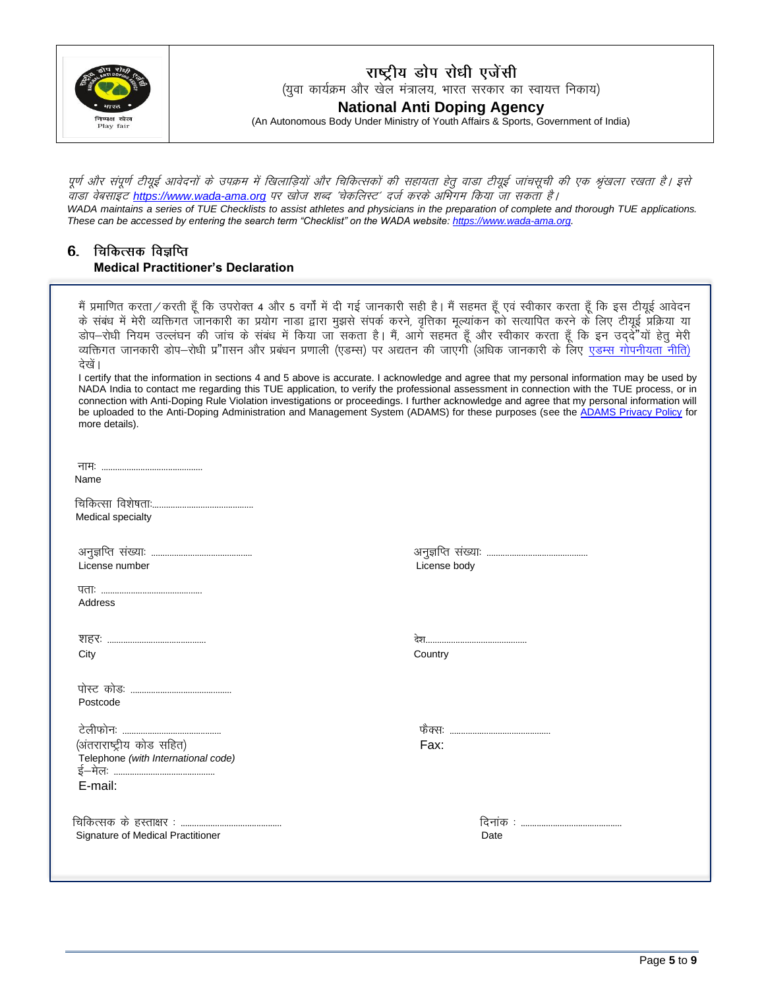

राष्ट्रीय डोप रोधी एजेंसी (युवा कार्यक्रम और खेल मंत्रालय, भारत सरकार का स्वायत्त निकाय) **National Anti Doping Agency** (An Autonomous Body Under Ministry of Youth Affairs & Sports, Government of India)

पर्ण और संपर्ण टीयई आवेदनों के उपक्रम में खिलाडियों और चिकित्सकों की सहायता हेत वाडा टीयई जांचसची की एक श्रंखला रखता है। इसे .<br>वाडा वेबसाइंट https://www.wada-ama.org पर खोज शब्द 'चेकलिस्ट' दर्ज करके अभिंगम किया जा सकता है। WADA maintains a series of TUE Checklists to assist athletes and physicians in the preparation of complete and thorough TUE applications. These can be accessed by entering the search term "Checklist" on the WADA website: https://www.wada-ama.org.

### 6. चिकित्सक विज्ञप्ति **Medical Practitioner's Declaration**

मैं प्रमाणित करता ⁄ करती हँ कि उपरोक्त 4 और 5 वर्गों में दी गई जानकारी सही है। मैं सहमत हँ एवं स्वीकार करता हँ कि इस टीयुई आवेदन के संबंध में मेरी व्यक्तिगत जानकारी का प्रयोग नाडा द्वारा मुझसे संपर्क करने, वृत्तिका मूल्यांकन को सत्यापित करने के लिए टीयूई प्रक्रिया या डोप-रोधी नियम उल्लंघन की जांच के संबंध में किया जा सकता है। मैं, आगे सहमत हूँ और स्वीकार करता हूँ कि इन उददें यों हेतू मेरी व्यक्तिगत जानकारी डोप–रोधी प्र"ाासन और प्रबंधन प्रणाली (एडम्स) पर अद्यतन की जाएगी (अधिक जानकारी के लिए एडम्स गोपनीयता नीति) देखें। I certify that the information in sections 4 and 5 above is accurate. I acknowledge and agree that my personal information may be used by NADA India to contact me regarding this TUE application, to verify the professional assessment in connection with the TUE process, or in connection with Anti-Doping Rule Violation investigations or proceedings. I further acknowledge and agree that my personal information will be uploaded to the Anti-Doping Administration and Management System (ADAMS) for these purposes (see the ADAMS Privacy Policy for more details).

| Name                                                             |              |
|------------------------------------------------------------------|--------------|
| Medical specialty                                                |              |
| License number                                                   | License body |
| Address                                                          |              |
| City                                                             | Country      |
| Postcode                                                         |              |
|                                                                  |              |
| (अंतराराष्ट्रीय कोड सहित)<br>Telephone (with International code) | Fax:         |
| E-mail:                                                          |              |
| Signature of Medical Practitioner                                | Date         |
|                                                                  |              |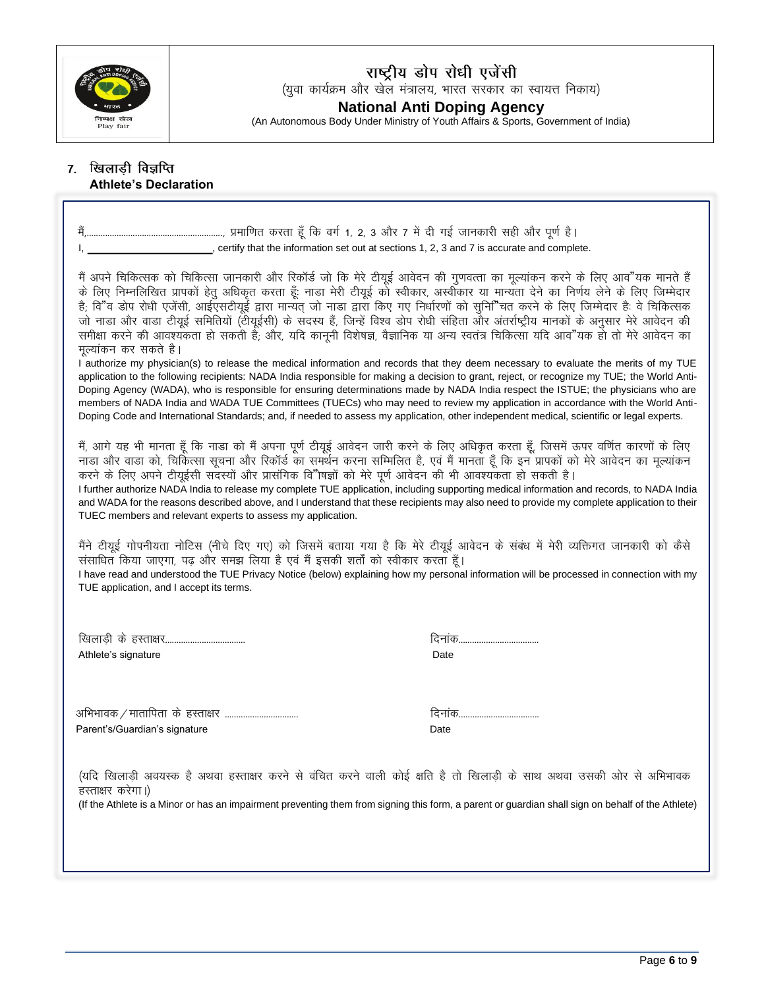

# राष्ट्रीय डोप रोधी एजेंसी<br>(युवा कार्यक्रम और खेल मंत्रालय, भारत सरकार का स्वायत्त निकाय)

National Anti Doping Agency<br>(An Autonomous Body Under Ministry of Youth Affairs & Sports, Government of India)

### 7. खिलाड़ी विज्ञप्ति **Athlete's Declaration**

| मैं अपने चिकित्सक को चिकित्सा जानकारी और रिकॉर्ड जो कि मेरे टीयूई आवेदन की गुणवत्ता का मूल्यांकन करने के लिए आव"यक मानते हैं<br>के लिए निम्नलिखित प्रापकों हेतु अधिकृत करता हूँ: नाडा मेरी टीयूई को स्वीकार, अस्वीकार या मान्यता देने का निर्णय लेने के लिए जिम्मेदार<br>है; वि"व डोप रोधी एजेंसी, आईएसटीयूई द्वारा मान्यत् जो नाडा द्वारा किए गए निर्धारणों को सुनि"चत करने के लिए जिम्मेदार है: वे चिकित्सक<br>जो नाडा और वाडा टीयूई समितियों (टीयूईसी) के सदस्य हैं, जिन्हें विश्व डोप रोधी संहिता और अंतर्राष्ट्रीय मानकों के अनुसार मेरे आवेदन की<br>समीक्षा करने की आवश्यकता हो सकती हैं; और, यदि कानूनी विशेषज्ञ, वैज्ञानिक या अन्य स्वतंत्र चिकित्सा यदि आव"यक हो तो मेरे आवेदन का<br>मूल्यांकन कर सकते है।<br>I authorize my physician(s) to release the medical information and records that they deem necessary to evaluate the merits of my TUE<br>application to the following recipients: NADA India responsible for making a decision to grant, reject, or recognize my TUE; the World Anti-<br>Doping Agency (WADA), who is responsible for ensuring determinations made by NADA India respect the ISTUE; the physicians who are<br>members of NADA India and WADA TUE Committees (TUECs) who may need to review my application in accordance with the World Anti-<br>Doping Code and International Standards; and, if needed to assess my application, other independent medical, scientific or legal experts. |                |  |  |  |
|---------------------------------------------------------------------------------------------------------------------------------------------------------------------------------------------------------------------------------------------------------------------------------------------------------------------------------------------------------------------------------------------------------------------------------------------------------------------------------------------------------------------------------------------------------------------------------------------------------------------------------------------------------------------------------------------------------------------------------------------------------------------------------------------------------------------------------------------------------------------------------------------------------------------------------------------------------------------------------------------------------------------------------------------------------------------------------------------------------------------------------------------------------------------------------------------------------------------------------------------------------------------------------------------------------------------------------------------------------------------------------------------------------------------------------|----------------|--|--|--|
| मैं, आगे यह भी मानता हूँ कि नाडा को मैं अपना पूर्ण टीयूई आवेदन जारी करने के लिए अधिकृत करता हूँ, जिसमें ऊपर वर्णित कारणों के लिए<br>नाडा और वाडा को, चिकित्सा सूचना और रिकॉर्ड का समर्थन करना सम्मिलित है, एवं मैं मानता हूँ कि इन प्रापकों को मेरे आवेदन का मूल्यांकन<br>करने के लिए अपने टीयूईसी सदस्यों और प्रासंगिक वि"ोषज्ञों को मेरे पूर्ण आवेदन की भी आवश्यकता हो सकती है।<br>I further authorize NADA India to release my complete TUE application, including supporting medical information and records, to NADA India<br>and WADA for the reasons described above, and I understand that these recipients may also need to provide my complete application to their<br>TUEC members and relevant experts to assess my application.                                                                                                                                                                                                                                                                                                                                                                                                                                                                                                                                                                                                                                                                                    |                |  |  |  |
| मैंने टीयूई गोपनीयता नोटिस (नीचे दिए गए) को जिसमें बताया गया है कि मेरे टीयूई आवेदन के संबंध में मेरी व्यक्तिगत जानकारी को कैसे<br>संसाधित किया जाएगा, पढ़ और समझ लिया है एवं मैं इसकी शर्तों को स्वीकार करता हूँ।<br>I have read and understood the TUE Privacy Notice (below) explaining how my personal information will be processed in connection with my<br>TUE application, and I accept its terms.                                                                                                                                                                                                                                                                                                                                                                                                                                                                                                                                                                                                                                                                                                                                                                                                                                                                                                                                                                                                                      |                |  |  |  |
| Athlete's signature                                                                                                                                                                                                                                                                                                                                                                                                                                                                                                                                                                                                                                                                                                                                                                                                                                                                                                                                                                                                                                                                                                                                                                                                                                                                                                                                                                                                             | दिनांक<br>Date |  |  |  |
| Parent's/Guardian's signature                                                                                                                                                                                                                                                                                                                                                                                                                                                                                                                                                                                                                                                                                                                                                                                                                                                                                                                                                                                                                                                                                                                                                                                                                                                                                                                                                                                                   | दिनांक<br>Date |  |  |  |
| (यदि खिलाड़ी अवयस्क है अथवा हस्ताक्षर करने से वंचित करने वाली कोई क्षति है तो खिलाड़ी के साथ अथवा उसकी ओर से अभिभावक<br>हस्ताक्षर करेगा।)<br>(If the Athlete is a Minor or has an impairment preventing them from signing this form, a parent or guardian shall sign on behalf of the Athlete)                                                                                                                                                                                                                                                                                                                                                                                                                                                                                                                                                                                                                                                                                                                                                                                                                                                                                                                                                                                                                                                                                                                                  |                |  |  |  |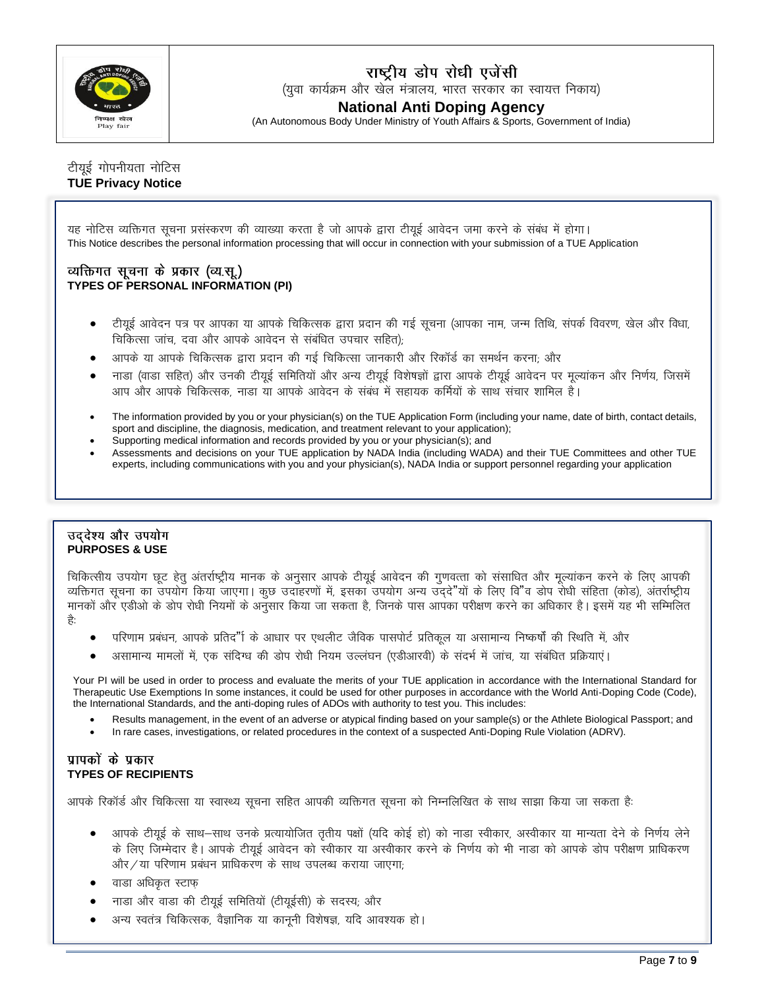

### राष्ट्रीय डोप रोधी एजेंसी

(युवा कार्यक्रम और खेल मंत्रालय, भारत सरकार का स्वायत्त निकाय)

### **National Anti Doping Agency**

(An Autonomous Body Under Ministry of Youth Affairs & Sports, Government of India)

### टीयुई गोपनीयता नोटिस **TUE Privacy Notice**

यह नोटिस व्यक्तिगत सूचना प्रसंस्करण की व्याख्या करता है जो आपके द्वारा टीयुई आवेदन जमा करने के संबंध में होगा। This Notice describes the personal information processing that will occur in connection with your submission of a TUE Application

### व्यक्तिगत सूचना के प्रकार (व्य.सू.) **TYPES OF PERSONAL INFORMATION (PI)**

- टीयूई आवेदन पत्र पर आपका या आपके चिकित्सक द्वारा प्रदान की गई सूचना (आपका नाम, जन्म तिथि, संपर्क विवरण, खेल और विधा, ...<br>चिकित्सा जांच, दवा और आपके आवेदन से संबंधित उपचार सहित);
- आपके या आपके चिकित्सक द्वारा प्रदान की गई चिकित्सा जानकारी और रिकॉर्ड का समर्थन करना; और
- नाडा (वाडा सहित) और उनकी टीयई समितियों और अन्य टीयई विशेषज्ञों द्वारा आपके टीयई आवेदन पर मल्यांकन और निर्णय, जिसमें आप और आपके चिकित्सक, नाडा या आपके आवेदन के संबंध में सहायक कर्मियों के साथ संचार शामिल है।
- The information provided by you or your physician(s) on the TUE Application Form (including your name, date of birth, contact details, sport and discipline, the diagnosis, medication, and treatment relevant to your application);
- Supporting medical information and records provided by you or your physician(s); and
- Assessments and decisions on your TUE application by NADA India (including WADA) and their TUE Committees and other TUE experts, including communications with you and your physician(s), NADA India or support personnel regarding your application

#### उददेश्य और उपयोग **PURPOSES & USE**

चिकित्सीय उपयोग छट हेतु अंतर्राष्ट्रीय मानक के अनुसार आपके टीयुई आवेदन की गुणवत्ता को संसाधित और मुल्यांकन करने के लिए आपकी व्यक्तिगत सूचना का उपयोग किया जाएगा। कुछ उदाहरणों में, इसका उपयोग अन्य उददे"यों के लिए वि"व डोप रोधी संहिता (कोड), अंतर्राष्ट्रीय मानकों और एडीओ के डोप रोधी नियमों के अनुसार किया जा सकता है, जिनके पास आपका परीक्षण करने का अधिकार है। इसमें यह भी सम्मिलित है:

- परिणाम प्रबंधन, आपके प्रतिद"ि के आधार पर एथलीट जैविक पासपोर्ट प्रतिकूल या असामान्य निष्कर्षों की स्थिति में, और
- असामान्य मामलों में, एक संदिग्ध की डोप रोधी नियम उल्लंघन (एडीआरवी) के संदर्भ में जांच, या संबंधित प्रक्रियाएं।

Your PI will be used in order to process and evaluate the merits of your TUE application in accordance with the International Standard for Therapeutic Use Exemptions In some instances, it could be used for other purposes in accordance with the World Anti-Doping Code (Code), the International Standards, and the anti-doping rules of ADOs with authority to test you. This includes:

- Results management, in the event of an adverse or atypical finding based on your sample(s) or the Athlete Biological Passport; and
- In rare cases, investigations, or related procedures in the context of a suspected Anti-Doping Rule Violation (ADRV).

### पापकों के प्रकार **TYPES OF RECIPIENTS**

आपके रिकॉर्ड और चिकित्सा या स्वास्थ्य सूचना सहित आपकी व्यक्तिगत सूचना को निम्नलिखित के साथ साझा किया जा सकता है:

- आपके टीयुई के साथ—साथ उनके प्रत्यायोजित तृतीय पक्षों (यदि कोई हो) को नाडा स्वीकार, अस्वीकार या मान्यता देने के निर्णय लेने के लिए जिम्मेदार है। आपके टीयूई आवेदन को स्वीकार या अस्वीकार करने के निर्णय को भी नाडा को आपके डोप परीक्षण प्राधिकरण और / या परिणाम प्रबंधन प्राधिकरण के साथ उपलब्ध कराया जाएगा;
- वाडा अधिकृत स्टाफ
- नाडा और वाडा की टीयूई समितियों (टीयूईसी) के सदस्य, और
- अन्य स्वतंत्र चिकित्सक, वैज्ञानिक या कानूनी विशेषज्ञ, यदि आवश्यक हो।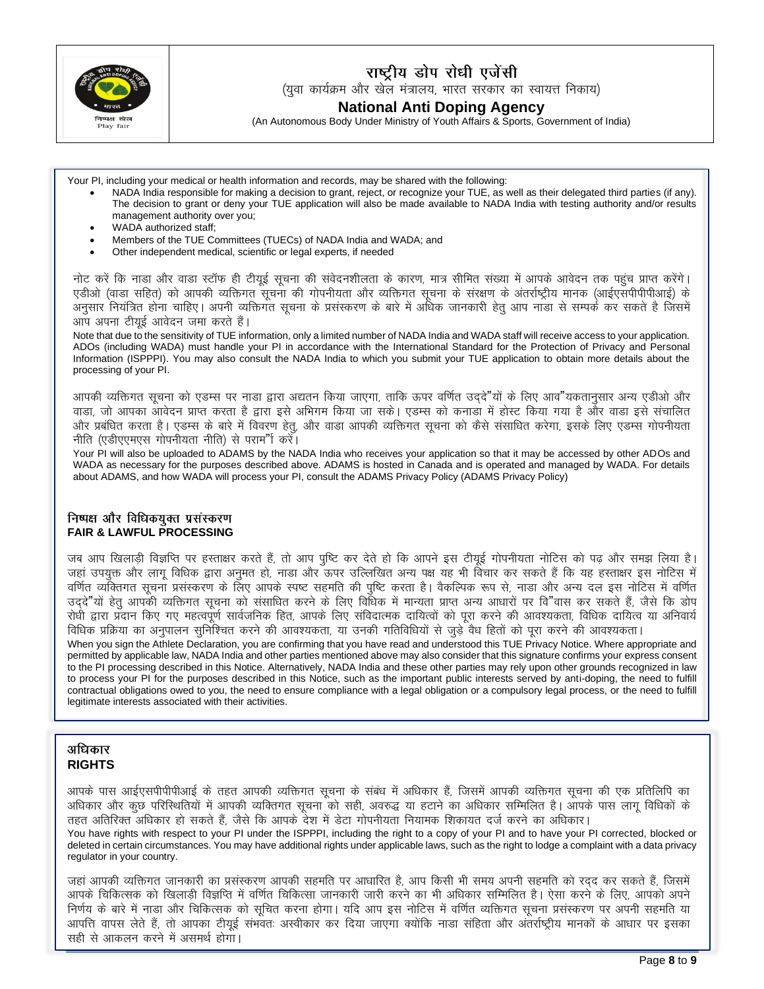

राष्ट्रीय डोप रोधी एजेंसी (युवा कार्यक्रम और खेल मंत्रालय, भारत सरकार का स्वायत्त निकाय) **National Anti Doping Agency**

(An Autonomous Body Under Ministry of Youth Affairs & Sports, Government of India)

Your PI, including your medical or health information and records, may be shared with the following:

- NADA India responsible for making a decision to grant, reject, or recognize your TUE, as well as their delegated third parties (if any). The decision to grant or deny your TUE application will also be made available to NADA India with testing authority and/or results management authority over you;
- WADA authorized staff;
- Members of the TUE Committees (TUECs) of NADA India and WADA; and
- Other independent medical, scientific or legal experts, if needed

नोट करें कि नाडा और वाडा स्टॉफ ही टीयूई सूचना की संवेदनशीलता के कारण, मात्र सीमित संख्या में आपके आवेदन तक पहुंच प्राप्त करेंगे। एडीओ (वाडा सहित) को आपकी व्यक्तिगत सुचना की गोपनीयता और व्यक्तिगत सुचना के संरक्षण के अंतर्राष्ट्रीय मानक (आईएसपीपीपीआई) के .<br>अनसार नियंत्रित होना चाहिए। अपनी व्यक्तिगत सचना के प्रसंस्करण के बारे में अधिक जानकारी हेतु आप नाडा से सम्पर्क कर सकते है जिसमें <u>आप अपना टीयई आवेदन जमा करते हैं।</u>

Note that due to the sensitivity of TUE information, only a limited number of NADA India and WADA staff will receive access to your application. ADOs (including WADA) must handle your PI in accordance with the International Standard for the Protection of Privacy and Personal Information (ISPPPI). You may also consult the NADA India to which you submit your TUE application to obtain more details about the processing of your PI.

आपकी व्यक्तिगत सूचना को एडम्स पर नाडा द्वारा अद्यतन किया जाएगा, ताकि ऊपर वर्णित उददे"यों के लिए आव"यकतानुसार अन्य एडीओ और वाडा, जो आपका आवेदन प्राप्त करता है द्वारा इसे अभिगम किया जा सके। एडम्स को कनाडा में होस्ट किया गया है और वाडा इसे संचालित और प्रबंधित करता है। एडम्स के बारे में विवरण हेत. और वाडा आपकी व्यक्तिगत सचना को कैसे संसाधित करेगा. इसके लिए एडम्स गोपनीयता **नीति (एडीएएमएस गोपनीयता नीति) से पराम**" करें।

Your PI will also be uploaded to ADAMS by the NADA India who receives your application so that it may be accessed by other ADOs and WADA as necessary for the purposes described above. ADAMS is hosted in Canada and is operated and managed by WADA. For details about ADAMS, and how WADA will process your PI, consult the ADAMS Privacy Policy (ADAMS Privacy Policy)

#### निष्पक्ष और विधिकयुक्त प्रसंस्करण **FAIR & LAWFUL PROCESSING**

जब आप खिलाड़ी विज्ञप्ति पर हस्ताक्षर करते हैं, तो आप पुष्टि कर देते हो कि आपने इस टीयूई गोपनीयता नोटिस को पढ़ और समझ लिया है। जहां उपयुक्त और लागू विधिक द्वारा अनुमत हो, नाडा और ऊपर उल्लिखित अन्य पक्ष यह भी विचार कर सकते हैं कि यह हस्ताक्षर इस नोटिस में वर्णित व्यक्तिगत सूचना प्रसंस्करण के लिए आपके स्पष्ट सहमति की पुष्टि करता है। वैकल्पिक रूप से, नाडा और अन्य दल इस नोटिस में वर्णित **mn~ns**"**;ksa gsrq vkidh O;fäxr lwpuk dks lalkfèkr djus d s fy, fof/kd esa ekU;rk çkIr vU; vkèkkjksa ij fo**"**okl dj ldrs gSa] t Sls fd Mksi**  रोधी द्वारा प्रदान किए गए महत्वपूर्ण सार्वजनिक हित, आपके लिए संविदात्मक दायित्वों को पूरा करने की आवश्यकता, विधिक दायित्व या अनिवार्य विधिक प्रक्रिया का अनुपालन सुनिश्चित करने की आवश्यकता, या उनकी गतिविधियों से जुडे<sup>ं</sup>वैध हितों को पुरा करने की आवश्यकता।

When you sign the Athlete Declaration, you are confirming that you have read and understood this TUE Privacy Notice. Where appropriate and permitted by applicable law, NADA India and other parties mentioned above may also consider that this signature confirms your express consent to the PI processing described in this Notice. Alternatively, NADA India and these other parties may rely upon other grounds recognized in law to process your PI for the purposes described in this Notice, such as the important public interests served by anti-doping, the need to fulfill contractual obligations owed to you, the need to ensure compliance with a legal obligation or a compulsory legal process, or the need to fulfill legitimate interests associated with their activities.

### अधिकार **RIGHTS**

आपके पास आईएसपीपीपीआई के तहत आपकी व्यक्तिगत सचना के संबंध में अधिकार हैं, जिसमें आपकी व्यक्तिगत सचना की एक प्रतिलिपि का अधिकार और कुछ परिस्थितियों में आपकी व्यक्तिगत सुचना को सही, अवरुद्ध या हटाने का अधिकार सम्मिलित है। आपके पास लागू विधिकों के तहत अतिरिक्त अधिकार हो सकते हैं, जैसे कि आपके देश में डेटा गोपनीयता नियामक शिकायत दर्ज करने का अधिकार। You have rights with respect to your PI under the ISPPPI, including the right to a copy of your PI and to have your PI corrected, blocked or deleted in certain circumstances. You may have additional rights under applicable laws, such as the right to lodge a complaint with a data privacy regulator in your country.

जहां आपकी व्यक्तिगत जानकारी का प्रसंस्करण आपकी सहमति पर आधारित है, आप किसी भी समय अपनी सहमति को रदद कर सकते हैं, जिसमें आपके चिकित्सक को खिलाडी विज्ञप्ति में वर्णित चिकित्सा जानकारी जारी करने का भी अधिकार सम्मिलित है। ऐसा करने के लिए, आपको अपने निर्णय के बारे में नाडा और चिकित्सक को सुचित करना होगा। यदि आप इस नोटिस में वर्णित व्यक्तिगत सचना प्रसंस्करण पर अपनी सहमति या आपत्ति वापस लेते हैं, तो आपका टीयूई संभवतः अस्वीकार कर दिया जाएगा क्योंकि नाडा संहिता और अंतर्राष्ट्रीय मानकों के आधार पर इसका सही से आकलन करने में असमर्थ होगा।